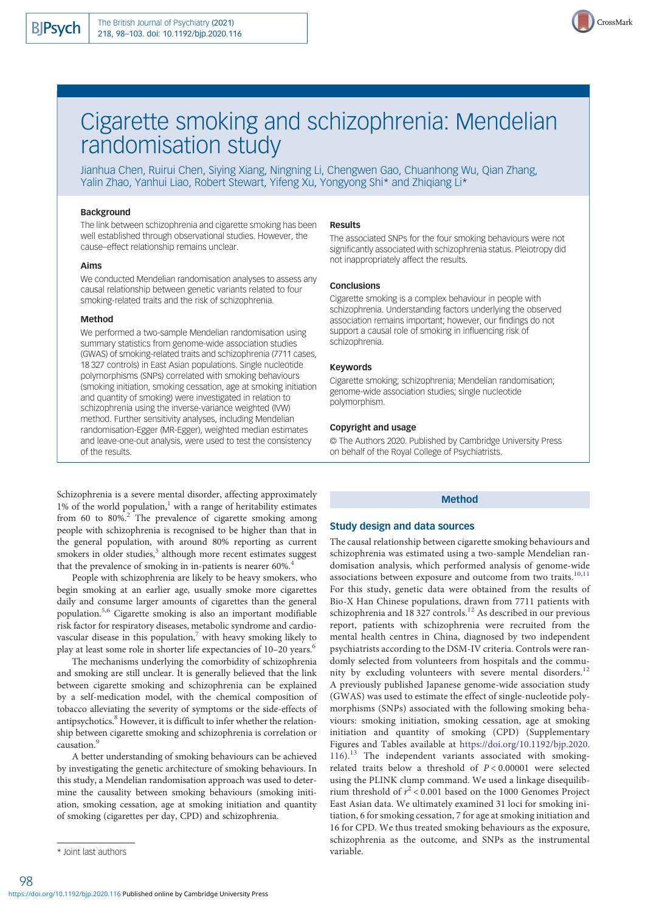

# Cigarette smoking and schizophrenia: Mendelian randomisation study

Jianhua Chen, Ruirui Chen, Siying Xiang, Ningning Li, Chengwen Gao, Chuanhong Wu, Qian Zhang, Yalin Zhao, Yanhui Liao, Robert Stewart, Yifeng Xu, Yongyong Shi\* and Zhiqiang Li\*

## Background

The link between schizophrenia and cigarette smoking has been well established through observational studies. However, the cause–effect relationship remains unclear.

#### Aims

We conducted Mendelian randomisation analyses to assess any causal relationship between genetic variants related to four smoking-related traits and the risk of schizophrenia.

## Method

We performed a two-sample Mendelian randomisation using summary statistics from genome-wide association studies (GWAS) of smoking-related traits and schizophrenia (7711 cases, 18 327 controls) in East Asian populations. Single nucleotide polymorphisms (SNPs) correlated with smoking behaviours (smoking initiation, smoking cessation, age at smoking initiation and quantity of smoking) were investigated in relation to schizophrenia using the inverse-variance weighted (IVW) method. Further sensitivity analyses, including Mendelian randomisation-Egger (MR-Egger), weighted median estimates and leave-one-out analysis, were used to test the consistency of the results.

#### Results

The associated SNPs for the four smoking behaviours were not significantly associated with schizophrenia status. Pleiotropy did not inappropriately affect the results.

## **Conclusions**

Cigarette smoking is a complex behaviour in people with schizophrenia. Understanding factors underlying the observed association remains important; however, our findings do not support a causal role of smoking in influencing risk of schizophrenia.

## Keywords

Cigarette smoking; schizophrenia; Mendelian randomisation; genome-wide association studies; single nucleotide polymorphism.

## Copyright and usage

© The Authors 2020. Published by Cambridge University Press on behalf of the Royal College of Psychiatrists.

Schizophrenia is a severe mental disorder, affecting approximately 1% of the world population, $\frac{1}{1}$  with a range of heritability estimates from 60 to  $80\%$ <sup>[2](#page-4-0)</sup>. The prevalence of cigarette smoking among people with schizophrenia is recognised to be higher than that in the general population, with around 80% reporting as current smokers in older studies,<sup>3</sup> although more recent estimates suggest that the prevalence of smoking in in-patients is nearer 60%.<sup>[4](#page-4-0)</sup>

People with schizophrenia are likely to be heavy smokers, who begin smoking at an earlier age, usually smoke more cigarettes daily and consume larger amounts of cigarettes than the general population.[5,6](#page-4-0) Cigarette smoking is also an important modifiable risk factor for respiratory diseases, metabolic syndrome and cardiovascular disease in this population, $\frac{7}{1}$  $\frac{7}{1}$  $\frac{7}{1}$  with heavy smoking likely to play at least some role in shorter life expectancies of 10–20 years.<sup>[6](#page-4-0)</sup>

The mechanisms underlying the comorbidity of schizophrenia and smoking are still unclear. It is generally believed that the link between cigarette smoking and schizophrenia can be explained by a self-medication model, with the chemical composition of tobacco alleviating the severity of symptoms or the side-effects of antipsychotics.[8](#page-4-0) However, it is difficult to infer whether the relationship between cigarette smoking and schizophrenia is correlation or causation<sup>9</sup>

A better understanding of smoking behaviours can be achieved by investigating the genetic architecture of smoking behaviours. In this study, a Mendelian randomisation approach was used to determine the causality between smoking behaviours (smoking initiation, smoking cessation, age at smoking initiation and quantity of smoking (cigarettes per day, CPD) and schizophrenia.

## Method

## Study design and data sources

The causal relationship between cigarette smoking behaviours and schizophrenia was estimated using a two-sample Mendelian randomisation analysis, which performed analysis of genome-wide associations between exposure and outcome from two traits.<sup>[10](#page-5-0),[11](#page-5-0)</sup> For this study, genetic data were obtained from the results of Bio-X Han Chinese populations, drawn from 7711 patients with schizophrenia and 18 327 controls.<sup>[12](#page-5-0)</sup> As described in our previous report, patients with schizophrenia were recruited from the mental health centres in China, diagnosed by two independent psychiatrists according to the DSM-IV criteria. Controls were randomly selected from volunteers from hospitals and the commu-nity by excluding volunteers with severe mental disorders.<sup>[12](#page-5-0)</sup> A previously published Japanese genome-wide association study (GWAS) was used to estimate the effect of single-nucleotide polymorphisms (SNPs) associated with the following smoking behaviours: smoking initiation, smoking cessation, age at smoking initiation and quantity of smoking (CPD) (Supplementary Figures and Tables available at [https://doi.org/10.1192/bjp.2020.](https://doi.org/10.1192/bjp.2020.116) [116\)](https://doi.org/10.1192/bjp.2020.116).<sup>[13](#page-5-0)</sup> The independent variants associated with smokingrelated traits below a threshold of  $P < 0.00001$  were selected using the PLINK clump command. We used a linkage disequilibrium threshold of  $r^2$  < 0.001 based on the 1000 Genomes Project East Asian data. We ultimately examined 31 loci for smoking initiation, 6 for smoking cessation, 7 for age at smoking initiation and 16 for CPD. We thus treated smoking behaviours as the exposure, schizophrenia as the outcome, and SNPs as the instrumental

<sup>\*</sup> Joint last authors variable.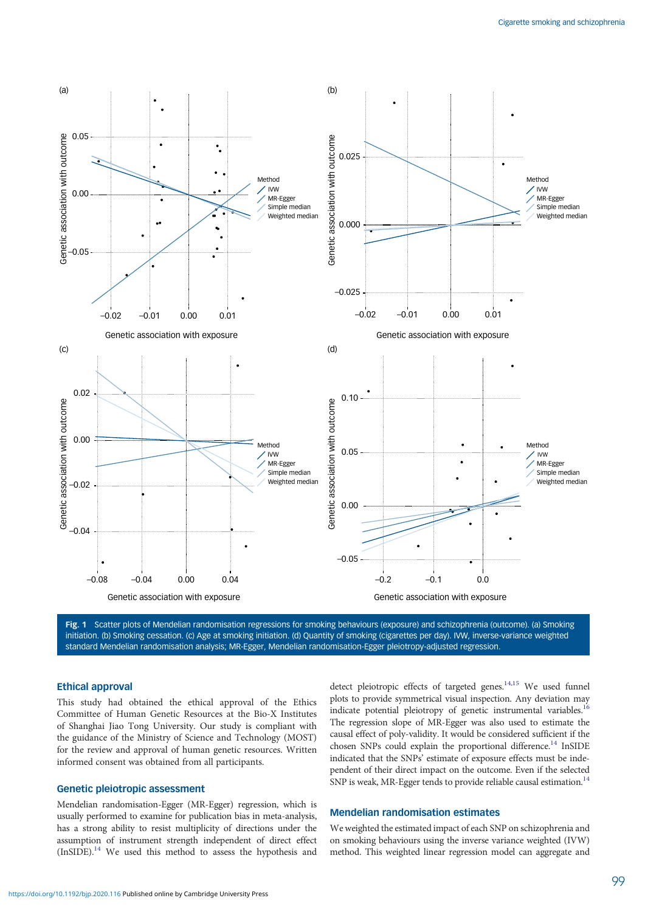<span id="page-1-0"></span>

Fig. 1 Scatter plots of Mendelian randomisation regressions for smoking behaviours (exposure) and schizophrenia (outcome). (a) Smoking initiation. (b) Smoking cessation. (c) Age at smoking initiation. (d) Quantity of smoking (cigarettes per day). IVW, inverse-variance weighted standard Mendelian randomisation analysis; MR-Egger, Mendelian randomisation-Egger pleiotropy-adjusted regression.

#### Ethical approval

This study had obtained the ethical approval of the Ethics Committee of Human Genetic Resources at the Bio-X Institutes of Shanghai Jiao Tong University. Our study is compliant with the guidance of the Ministry of Science and Technology (MOST) for the review and approval of human genetic resources. Written informed consent was obtained from all participants.

# Genetic pleiotropic assessment

Mendelian randomisation-Egger (MR-Egger) regression, which is usually performed to examine for publication bias in meta-analysis, has a strong ability to resist multiplicity of directions under the assumption of instrument strength independent of direct effect (InSIDE).[14](#page-5-0) We used this method to assess the hypothesis and

detect pleiotropic effects of targeted genes.<sup>14,15</sup> We used funnel plots to provide symmetrical visual inspection. Any deviation may indicate potential pleiotropy of genetic instrumental variables.<sup>16</sup> The regression slope of MR-Egger was also used to estimate the causal effect of poly-validity. It would be considered sufficient if the chosen SNPs could explain the proportional difference.<sup>14</sup> InSIDE indicated that the SNPs' estimate of exposure effects must be independent of their direct impact on the outcome. Even if the selected SNP is weak, MR-Egger tends to provide reliable causal estimation.<sup>14</sup>

# Mendelian randomisation estimates

We weighted the estimated impact of each SNP on schizophrenia and on smoking behaviours using the inverse variance weighted (IVW) method. This weighted linear regression model can aggregate and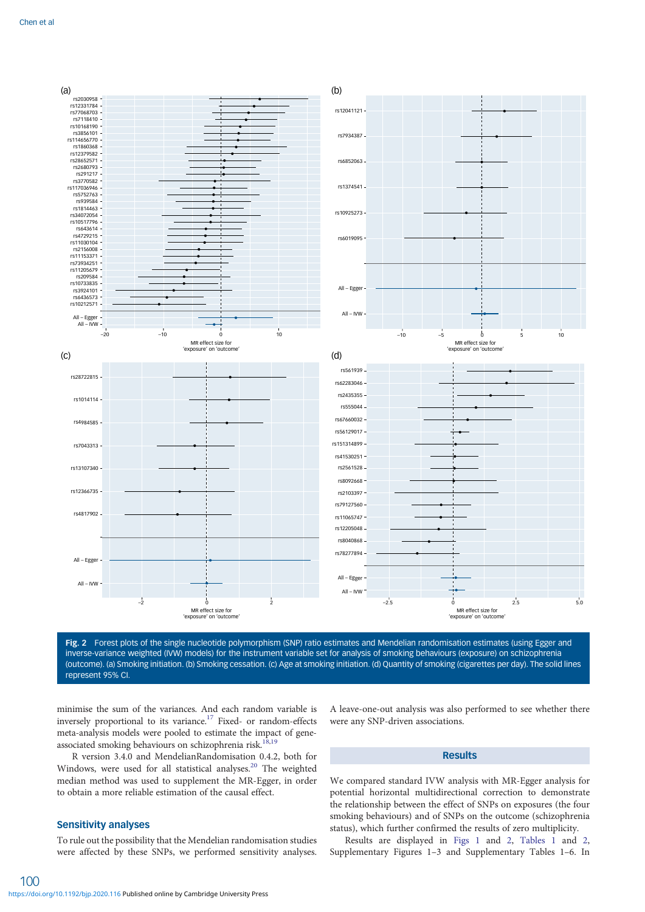

Fig. 2 Forest plots of the single nucleotide polymorphism (SNP) ratio estimates and Mendelian randomisation estimates (using Egger and inverse-variance weighted (IVW) models) for the instrument variable set for analysis of smoking behaviours (exposure) on schizophrenia (outcome). (a) Smoking initiation. (b) Smoking cessation. (c) Age at smoking initiation. (d) Quantity of smoking (cigarettes per day). The solid lines represent 95% CI.

minimise the sum of the variances. And each random variable is inversely proportional to its variance.<sup>[17](#page-5-0)</sup> Fixed- or random-effects meta-analysis models were pooled to estimate the impact of gene-associated smoking behaviours on schizophrenia risk.<sup>18,[19](#page-5-0)</sup>

R version 3.4.0 and MendelianRandomisation 0.4.2, both for Windows, were used for all statistical analyses.<sup>20</sup> The weighted median method was used to supplement the MR-Egger, in order to obtain a more reliable estimation of the causal effect.

# Sensitivity analyses

100

To rule out the possibility that the Mendelian randomisation studies were affected by these SNPs, we performed sensitivity analyses.

A leave-one-out analysis was also performed to see whether there were any SNP-driven associations.

# Results

We compared standard IVW analysis with MR-Egger analysis for potential horizontal multidirectional correction to demonstrate the relationship between the effect of SNPs on exposures (the four smoking behaviours) and of SNPs on the outcome (schizophrenia status), which further confirmed the results of zero multiplicity.

Results are displayed in [Figs 1](#page-1-0) and 2, [Tables 1](#page-3-0) and [2,](#page-3-0) Supplementary Figures 1–3 and Supplementary Tables 1–6. In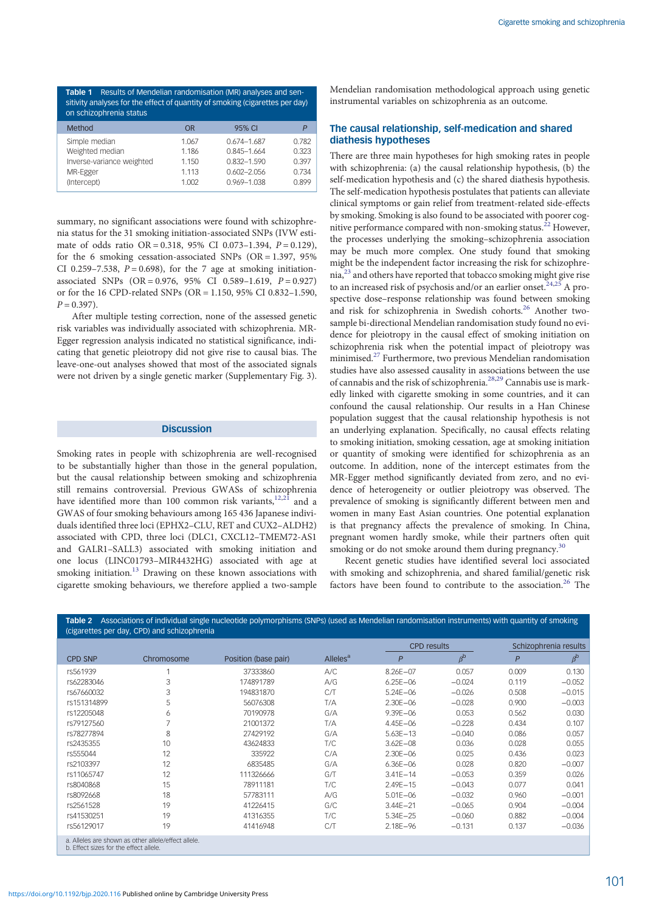Cigarette smoking and schizophrenia

<span id="page-3-0"></span>Table 1 Results of Mendelian randomisation (MR) analyses and sensitivity analyses for the effect of quantity of smoking (cigarettes per day) on schizophrenia status

| Method                    | ΩR    | 95% CI          |       |
|---------------------------|-------|-----------------|-------|
| Simple median             | 1.067 | $0.674 - 1.687$ | 0.782 |
| Weighted median           | 1.186 | 0.845-1.664     | 0.323 |
| Inverse-variance weighted | 1.150 | $0.832 - 1.590$ | 0.397 |
| MR-Egger                  | 1.113 | $0.602 - 2.056$ | 0.734 |
| (Intercept)               | 1.002 | 0.969-1.038     | 0.899 |
|                           |       |                 |       |

summary, no significant associations were found with schizophrenia status for the 31 smoking initiation-associated SNPs (IVW estimate of odds ratio OR = 0.318, 95% CI 0.073-1.394,  $P = 0.129$ ), for the 6 smoking cessation-associated SNPs (OR = 1.397, 95% CI 0.259–7.538,  $P = 0.698$ ), for the 7 age at smoking initiationassociated SNPs  $(OR = 0.976, 95\% \text{ CI} 0.589 - 1.619, P = 0.927)$ or for the 16 CPD-related SNPs (OR = 1.150, 95% CI 0.832–1.590,  $P = 0.397$ ).

After multiple testing correction, none of the assessed genetic risk variables was individually associated with schizophrenia. MR-Egger regression analysis indicated no statistical significance, indicating that genetic pleiotropy did not give rise to causal bias. The leave-one-out analyses showed that most of the associated signals were not driven by a single genetic marker (Supplementary Fig. 3).

## **Discussion**

Smoking rates in people with schizophrenia are well-recognised to be substantially higher than those in the general population, but the causal relationship between smoking and schizophrenia still remains controversial. Previous GWASs of schizophrenia have identified more than 100 common risk variants, $12,21$  and a GWAS of four smoking behaviours among 165 436 Japanese individuals identified three loci (EPHX2–CLU, RET and CUX2–ALDH2) associated with CPD, three loci (DLC1, CXCL12–TMEM72-AS1 and GALR1–SALL3) associated with smoking initiation and one locus (LINC01793–MIR4432HG) associated with age at smoking initiation.<sup>[13](#page-5-0)</sup> Drawing on these known associations with cigarette smoking behaviours, we therefore applied a two-sample

Mendelian randomisation methodological approach using genetic instrumental variables on schizophrenia as an outcome.

# The causal relationship, self-medication and shared diathesis hypotheses

There are three main hypotheses for high smoking rates in people with schizophrenia: (a) the causal relationship hypothesis, (b) the self-medication hypothesis and (c) the shared diathesis hypothesis. The self-medication hypothesis postulates that patients can alleviate clinical symptoms or gain relief from treatment-related side-effects by smoking. Smoking is also found to be associated with poorer cog-nitive performance compared with non-smoking status.<sup>[22](#page-5-0)</sup> However, the processes underlying the smoking–schizophrenia association may be much more complex. One study found that smoking might be the independent factor increasing the risk for schizophrenia,[23](#page-5-0) and others have reported that tobacco smoking might give rise to an increased risk of psychosis and/or an earlier onset.<sup>[24,25](#page-5-0)</sup> A prospective dose–response relationship was found between smoking and risk for schizophrenia in Swedish cohorts.<sup>[26](#page-5-0)</sup> Another twosample bi-directional Mendelian randomisation study found no evidence for pleiotropy in the causal effect of smoking initiation on schizophrenia risk when the potential impact of pleiotropy was minimised.[27](#page-5-0) Furthermore, two previous Mendelian randomisation studies have also assessed causality in associations between the use of cannabis and the risk of schizophrenia.[28,29](#page-5-0) Cannabis use is markedly linked with cigarette smoking in some countries, and it can confound the causal relationship. Our results in a Han Chinese population suggest that the causal relationship hypothesis is not an underlying explanation. Specifically, no causal effects relating to smoking initiation, smoking cessation, age at smoking initiation or quantity of smoking were identified for schizophrenia as an outcome. In addition, none of the intercept estimates from the MR-Egger method significantly deviated from zero, and no evidence of heterogeneity or outlier pleiotropy was observed. The prevalence of smoking is significantly different between men and women in many East Asian countries. One potential explanation is that pregnancy affects the prevalence of smoking. In China, pregnant women hardly smoke, while their partners often quit smoking or do not smoke around them during pregnancy.<sup>[30](#page-5-0)</sup>

Recent genetic studies have identified several loci associated with smoking and schizophrenia, and shared familial/genetic risk factors have been found to contribute to the association.<sup>[26](#page-5-0)</sup> The

| (cigarettes per day, CPD) and schizophrenia |                                                     |                      |                      |                    |                    |       |                       |  |  |  |
|---------------------------------------------|-----------------------------------------------------|----------------------|----------------------|--------------------|--------------------|-------|-----------------------|--|--|--|
|                                             |                                                     |                      |                      | <b>CPD</b> results |                    |       | Schizophrenia results |  |  |  |
| <b>CPD SNP</b>                              | Chromosome                                          | Position (base pair) | Alleles <sup>a</sup> | $\mathsf{P}$       | $\beta^{\text{b}}$ | P     | $\beta^{\text{b}}$    |  |  |  |
| rs561939                                    |                                                     | 37333860             | A/C                  | 8.26E-07           | 0.057              | 0.009 | 0.130                 |  |  |  |
| rs62283046                                  | 3                                                   | 174891789            | A/G                  | $6.25E - 06$       | $-0.024$           | 0.119 | $-0.052$              |  |  |  |
| rs67660032                                  | 3                                                   | 194831870            | C/T                  | $5.24E - 06$       | $-0.026$           | 0.508 | $-0.015$              |  |  |  |
| rs151314899                                 | 5                                                   | 56076308             | T/A                  | $2.30E - 06$       | $-0.028$           | 0.900 | $-0.003$              |  |  |  |
| rs12205048                                  | 6                                                   | 70190978             | G/A                  | $9.39E - 06$       | 0.053              | 0.562 | 0.030                 |  |  |  |
| rs79127560                                  |                                                     | 21001372             | T/A                  | 4.45E-06           | $-0.228$           | 0.434 | 0.107                 |  |  |  |
| rs78277894                                  | 8                                                   | 27429192             | G/A                  | $5.63E - 13$       | $-0.040$           | 0.086 | 0.057                 |  |  |  |
| rs2435355                                   | 10                                                  | 43624833             | T/C                  | $3.62E - 08$       | 0.036              | 0.028 | 0.055                 |  |  |  |
| rs555044                                    | 12                                                  | 335922               | C/A                  | $2.30E - 06$       | 0.025              | 0.436 | 0.023                 |  |  |  |
| rs2103397                                   | 12                                                  | 6835485              | G/A                  | $6.36E - 06$       | 0.028              | 0.820 | $-0.007$              |  |  |  |
| rs11065747                                  | 12                                                  | 111326666            | G/T                  | $3.41E - 14$       | $-0.053$           | 0.359 | 0.026                 |  |  |  |
| rs8040868                                   | 15                                                  | 78911181             | T/C                  | $2.49E - 15$       | $-0.043$           | 0.077 | 0.041                 |  |  |  |
| rs8092668                                   | 18                                                  | 57783111             | A/G                  | $5.01E - 06$       | $-0.032$           | 0.960 | $-0.001$              |  |  |  |
| rs2561528                                   | 19                                                  | 41226415             | G/C                  | $3.44E - 21$       | $-0.065$           | 0.904 | $-0.004$              |  |  |  |
| rs41530251                                  | 19                                                  | 41316355             | T/C                  | $5.34E - 25$       | $-0.060$           | 0.882 | $-0.004$              |  |  |  |
| rs56129017                                  | 19                                                  | 41416948             | C/T                  | 2.18E-96           | $-0.131$           | 0.137 | $-0.036$              |  |  |  |
| b. Effect sizes for the effect allele.      | a. Alleles are shown as other allele/effect allele. |                      |                      |                    |                    |       |                       |  |  |  |

Table 2 Associations of individual single nucleotide polymorphisms (SNPs) (used as Mendelian randomisation instruments) with quantity of smoking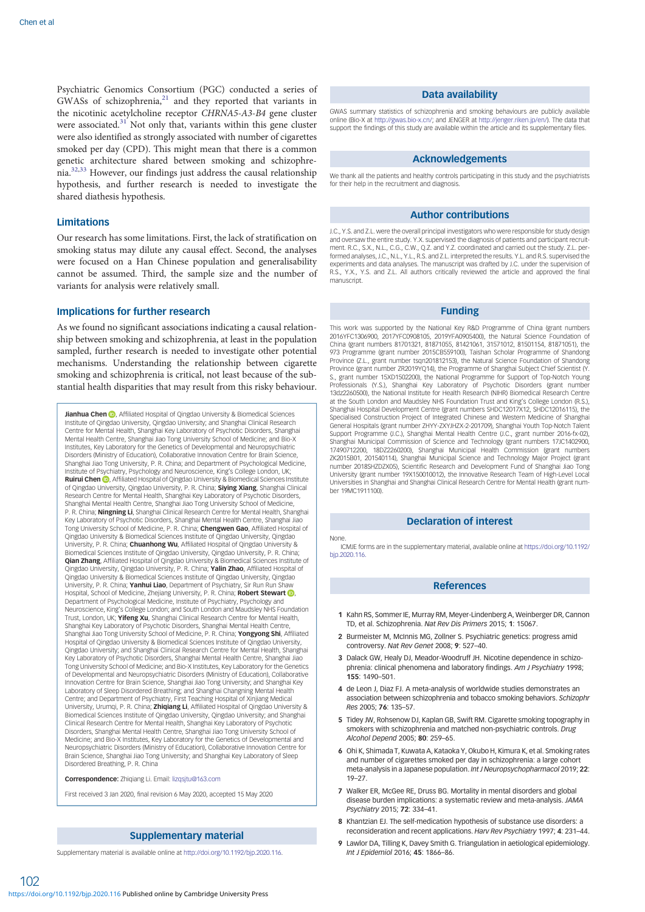<span id="page-4-0"></span>Psychiatric Genomics Consortium (PGC) conducted a series of GWASs of schizophrenia, $21$  and they reported that variants in the nicotinic acetylcholine receptor CHRNA5-A3-B4 gene cluster were associated.<sup>[31](#page-5-0)</sup> Not only that, variants within this gene cluster were also identified as strongly associated with number of cigarettes smoked per day (CPD). This might mean that there is a common genetic architecture shared between smoking and schizophrenia.[32](#page-5-0),[33](#page-5-0) However, our findings just address the causal relationship hypothesis, and further research is needed to investigate the shared diathesis hypothesis.

## **Limitations**

Our research has some limitations. First, the lack of stratification on smoking status may dilute any causal effect. Second, the analyses were focused on a Han Chinese population and generalisability cannot be assumed. Third, the sample size and the number of variants for analysis were relatively small.

## Implications for further research

As we found no significant associations indicating a causal relationship between smoking and schizophrenia, at least in the population sampled, further research is needed to investigate other potential mechanisms. Understanding the relationship between cigarette smoking and schizophrenia is critical, not least because of the substantial health disparities that may result from this risky behaviour.

Jianhua Chen <sup>(b</sup>)[,](https://orcid.org/0000-0003-0326-3124) Affiliated Hospital of Qingdao University & Biomedical Sciences Institute of Qingdao University, Qingdao University; and Shanghai Clinical Research Centre for Mental Health, Shanghai Key Laboratory of Psychotic Disorders, Shanghai Mental Health Centre, Shanghai Jiao Tong University School of Medicine; and Bio-X Institutes, Key Laboratory for the Genetics of Developmental and Neuropsychiatric Disorders (Ministry of Education), Collaborative Innovation Centre for Brain Science, Shanghai Jiao Tong University, P. R. China; and Department of Psychological Medicine, Institute of Psychiatry, Psychology and Neuroscience, King's College London, UK; **Ruirui Chen (D)**, Affiliated Hospital of Qingdao University & Biomedical Sciences Institute of Qingdao University, Qingdao University, P. R. China; **Siying Xiang**, Shanghai Clinical<br>Research Centre for Mental Health, Shanghai Key Laboratory of Psychotic Disorders, Shanghai Mental Health Centre, Shanghai Jiao Tong University School of Medicine, P. R. China; **Ningning Li**, Shanghai Clinical Research Centre for Mental Health, Shanghai Key Laboratory of Psychotic Disorders, Shanghai Mental Health Centre, Shanghai Jiao Tong University School of Medicine, P. R. China; Chengwen Gao, Affiliated Hospital of Qingdao University & Biomedical Sciences Institute of Qingdao University, Qingdao University, P. R. China; Chuanhong Wu, Affiliated Hospital of Qingdao University & Biomedical Sciences Institute of Qingdao University, Qingdao University, P. R. China; **Qian Zhang**, Affiliated Hospital of Qingdao University & Biomedical Sciences Institute of<br>Qingdao University, Qingdao University, P. R. China; **Yalin Zhao**, Affiliated Hospital of Qingdao University & Biomedical Sciences Institute of Qingdao University, Qingdao University, P. R. China; Yanhui Liao, Department of Psychiatry, Sir Run Run Shaw Hospital[,](https://orcid.org/0000-0002-4435-6397) School of Medicine, Zhejiang University, P. R. China; Robert Stewart **D**, Department of Psychological Medicine, Institute of Psychiatry, Psychology and Neuroscience, King's College London; and South London and Maudsley NHS Foundation Trust, London, UK; Yifeng Xu, Shanghai Clinical Research Centre for Mental Health, Shanghai Key Laboratory of Psychotic Disorders, Shanghai Mental Health Centre, Shanghai Jiao Tong University School of Medicine, P. R. China; Yongyong Shi, Affiliated Hospital of Qingdao University & Biomedical Sciences Institute of Qingdao University, Qingdao University; and Shanghai Clinical Research Centre for Mental Health, Shanghai Key Laboratory of Psychotic Disorders, Shanghai Mental Health Centre, Shanghai Jiao Tong University School of Medicine; and Bio-X Institutes, Key Laboratory for the Genetics of Developmental and Neuropsychiatric Disorders (Ministry of Education), Collaborative Innovation Centre for Brain Science, Shanghai Jiao Tong University; and Shanghai Key Laboratory of Sleep Disordered Breathing; and Shanghai Changning Mental Health Centre; and Department of Psychiatry, First Teaching Hospital of Xinjiang Medical University, Urumqi, P. R. China; Zhiqiang Li, Affiliated Hospital of Qingdao University & Biomedical Sciences Institute of Qingdao University, Qingdao University; and Shanghai Clinical Research Centre for Mental Health, Shanghai Key Laboratory of Psychotic Disorders, Shanghai Mental Health Centre, Shanghai Jiao Tong University School of Medicine; and Bio-X Institutes, Key Laboratory for the Genetics of Developmental and Neuropsychiatric Disorders (Ministry of Education), Collaborative Innovation Centre for Brain Science, Shanghai Jiao Tong University; and Shanghai Key Laboratory of Sleep Disordered Breathing, P. R. China

Correspondence: Zhigiang Li. Email: lizgsitu@163.com

First received 3 Jan 2020, final revision 6 May 2020, accepted 15 May 2020

## Supplementary material

Supplementary material is available online at [http://doi.org/10.1192/bjp.2020.116.](http://doi.org/10.1192/bjp.2020.116)

#### Data availability

GWAS summary statistics of schizophrenia and smoking behaviours are publicly available online (Bio-X at <http://gwas.bio-x.cn/>; and JENGER at <http://jenger.riken.jp/en/>). The data that support the findings of this study are available within the article and its supplementary files.

## Acknowledgements

We thank all the patients and healthy controls participating in this study and the psychiatrists for their help in the recruitment and diagnosis.

#### Author contributions

J.C., Y.S. and Z.L. were the overall principal investigators who were responsible for study design and oversaw the entire study. Y.X. supervised the diagnosis of patients and participant recruitment. R.C., S.X., N.L., C.G., C.W., Q.Z. and Y.Z. coordinated and carried out the study. Z.L. performed analyses, J.C., N.L., Y.L., R.S. and Z.L. interpreted the results. Y.L. and R.S. supervised the experiments and data analyses. The manuscript was drafted by J.C. under the supervision of R.S., Y.X., Y.S. and Z.L. All authors critically reviewed the article and approved the final manuscript.

### Funding

This work was supported by the National Key R&D Programme of China (grant numbers 2016YFC1306900, 2017YFC0908105, 2019YFA0905400), the Natural Science Foundation of China (grant numbers 81701321, 81871055, 81421061, 31571012, 81501154, 81871051), the 973 Programme (grant number 2015CB559100), Taishan Scholar Programme of Shandong Province (Z.L., grant number tsqn201812153), the Natural Science Foundation of Shandong Province (grant number ZR2019YQ14), the Programme of Shanghai Subject Chief Scientist (Y. S., grant number 15XD1502200), the National Programme for Support of Top-Notch Young Professionals (Y.S.), Shanghai Key Laboratory of Psychotic Disorders (grant number 13dz2260500), the National Institute for Health Research (NIHR) Biomedical Research Centre at the South London and Maudsley NHS Foundation Trust and King's College London (R.S.), Shanghai Hospital Development Centre (grant numbers SHDC12017X12, SHDC12016115), the Specialised Construction Project of Integrated Chinese and Western Medicine of Shanghai General Hospitals (grant number ZHYY-ZXYJHZX-2-201709), Shanghai Youth Top-Notch Talent Support Programme (J.C.), Shanghai Mental Health Centre (J.C., grant number 2016-fx-02), Shanghai Municipal Commission of Science and Technology (grant numbers 17JC1402900, 17490712200, 18DZ2260200), Shanghai Municipal Health Commission (grant numbers ZK2015B01, 201540114), Shanghai Municipal Science and Technology Major Project (grant number 2018SHZDZX05), Scientific Research and Development Fund of Shanghai Jiao Tong University (grant number 19X150010012), the Innovative Research Team of High-Level Local Universities in Shanghai and Shanghai Clinical Research Centre for Mental Health (grant number 19MC1911100).

## Declaration of interest

#### None.

ICMJE forms are in the supplementary material, available online at [https://doi.org/10.1192/](https://doi.org/10.1192/bjp.2020.116.) [bjp.2020.116.](https://doi.org/10.1192/bjp.2020.116.)

## References

- 1 Kahn RS, Sommer IE, Murray RM, Meyer-Lindenberg A, Weinberger DR, Cannon TD, et al. Schizophrenia. Nat Rev Dis Primers 2015; 1: 15067.
- 2 Burmeister M, McInnis MG, Zollner S. Psychiatric genetics: progress amid controversy. Nat Rev Genet 2008; 9: 527–40.
- 3 Dalack GW, Healy DJ, Meador-Woodruff JH. Nicotine dependence in schizophrenia: clinical phenomena and laboratory findings. Am J Psychiatry 1998; 155: 1490–501.
- 4 de Leon J, Diaz FJ. A meta-analysis of worldwide studies demonstrates an association between schizophrenia and tobacco smoking behaviors. Schizophr Res 2005; 76: 135–57.
- 5 Tidey JW, Rohsenow DJ, Kaplan GB, Swift RM. Cigarette smoking topography in smokers with schizophrenia and matched non-psychiatric controls. Drug Alcohol Depend 2005; 80: 259–65.
- 6 Ohi K, Shimada T, Kuwata A, Kataoka Y, Okubo H, Kimura K, et al. Smoking rates and number of cigarettes smoked per day in schizophrenia: a large cohort meta-analysis in a Japanese population. Int J Neuropsychopharmacol 2019; 22: 19–27.
- 7 Walker ER, McGee RE, Druss BG. Mortality in mental disorders and global disease burden implications: a systematic review and meta-analysis. JAMA Psychiatry 2015; 72: 334–41.
- 8 Khantzian EJ. The self-medication hypothesis of substance use disorders: a reconsideration and recent applications. Harv Rev Psychiatry 1997; 4: 231–44.
- 9 Lawlor DA, Tilling K, Davey Smith G. Triangulation in aetiological epidemiology. Int J Epidemiol 2016; 45: 1866–86.